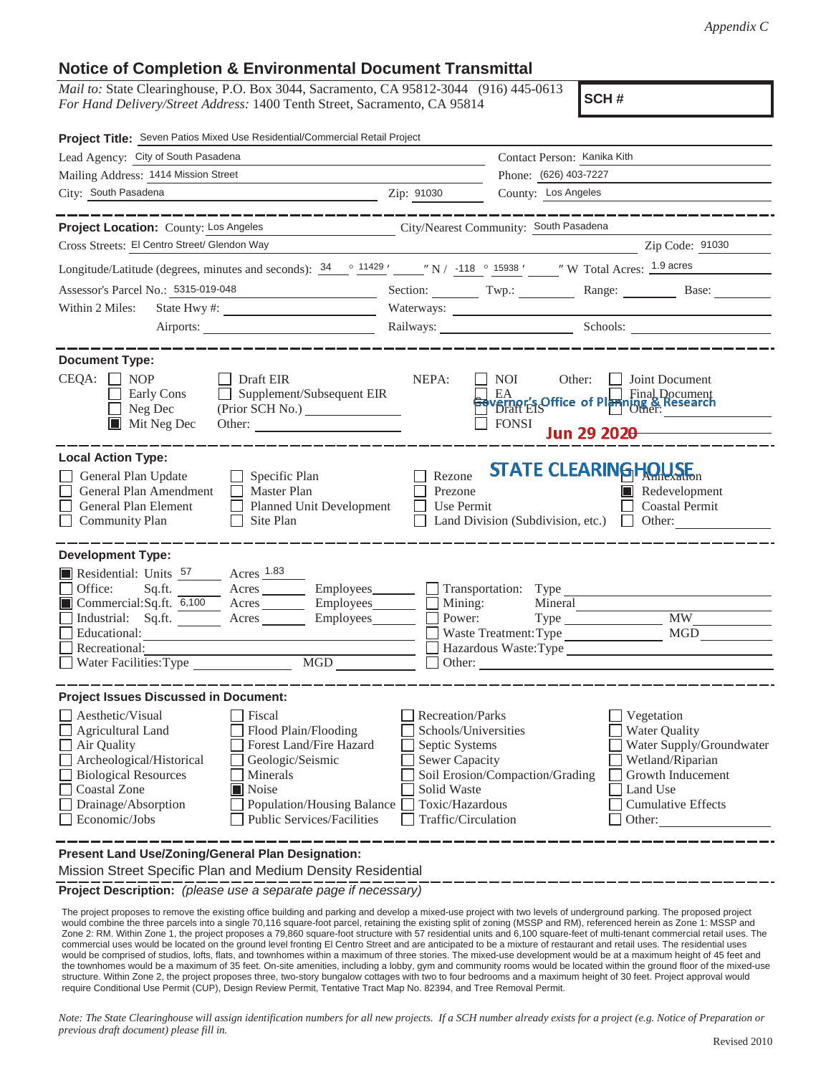## **Notice of Completion & Environmental Document Transmittal**

*Mail to:* State Clearinghouse, P.O. Box 3044, Sacramento, CA 95812-3044 (916) 445-0613 *For Hand Delivery/Street Address:* 1400 Tenth Street, Sacramento, CA 95814

**SCH #**

| Project Title: Seven Patios Mixed Use Residential/Commercial Retail Project                                                                                                                                                                                                                                                                                                                                  |                                                                                                                                              |                                                                                                                 |                                                                                                                                                     |
|--------------------------------------------------------------------------------------------------------------------------------------------------------------------------------------------------------------------------------------------------------------------------------------------------------------------------------------------------------------------------------------------------------------|----------------------------------------------------------------------------------------------------------------------------------------------|-----------------------------------------------------------------------------------------------------------------|-----------------------------------------------------------------------------------------------------------------------------------------------------|
| Lead Agency: City of South Pasadena                                                                                                                                                                                                                                                                                                                                                                          |                                                                                                                                              | Contact Person: Kanika Kith                                                                                     |                                                                                                                                                     |
| Mailing Address: 1414 Mission Street                                                                                                                                                                                                                                                                                                                                                                         |                                                                                                                                              | Phone: (626) 403-7227                                                                                           |                                                                                                                                                     |
| City: South Pasadena                                                                                                                                                                                                                                                                                                                                                                                         | Zip: 91030                                                                                                                                   | County: Los Angeles                                                                                             |                                                                                                                                                     |
|                                                                                                                                                                                                                                                                                                                                                                                                              |                                                                                                                                              |                                                                                                                 |                                                                                                                                                     |
| Project Location: County: Los Angeles                                                                                                                                                                                                                                                                                                                                                                        |                                                                                                                                              | City/Nearest Community: South Pasadena                                                                          |                                                                                                                                                     |
| Cross Streets: El Centro Street/ Glendon Way                                                                                                                                                                                                                                                                                                                                                                 |                                                                                                                                              |                                                                                                                 | Zip Code: 91030                                                                                                                                     |
| Longitude/Latitude (degrees, minutes and seconds): $\frac{34}{2}$ $\frac{11429}{2}$ $\frac{11429}{2}$ $\frac{118}{2}$ $\frac{0}{12338}$ $\frac{15938}{2}$ $\frac{118}{2}$ W Total Acres: $\frac{1.9 \text{ acres}}{2}$                                                                                                                                                                                       |                                                                                                                                              |                                                                                                                 |                                                                                                                                                     |
| Assessor's Parcel No.: 5315-019-048                                                                                                                                                                                                                                                                                                                                                                          |                                                                                                                                              |                                                                                                                 | Section: Twp.: Range: Base:                                                                                                                         |
| Within 2 Miles:                                                                                                                                                                                                                                                                                                                                                                                              |                                                                                                                                              | Waterways:                                                                                                      |                                                                                                                                                     |
|                                                                                                                                                                                                                                                                                                                                                                                                              |                                                                                                                                              |                                                                                                                 | Railways: Schools:                                                                                                                                  |
| <b>Document Type:</b><br>CEQA:<br>$\blacksquare$ NOP<br>$\Box$ Draft EIR<br>Supplement/Subsequent EIR<br>Early Cons<br>$\Box$ Neg Dec<br>(Prior SCH No.)<br>$\blacksquare$ Mit Neg Dec                                                                                                                                                                                                                       | NEPA:                                                                                                                                        | NOI<br>Other:<br>EA EA Contract Planning & Research<br>Bevernor's Office of Planning & Research<br><b>FONSI</b> | Joint Document<br>Jun 29 202 $\theta$                                                                                                               |
| <b>Local Action Type:</b><br>General Plan Update<br>$\Box$ Specific Plan<br>General Plan Amendment<br>$\Box$ Master Plan<br>General Plan Element<br>Planned Unit Development<br>Community Plan<br>Site Plan<br>$\Box$                                                                                                                                                                                        | Rezone<br>Prezone<br>Use Permit                                                                                                              | <b>STATE CLEARING HOUSE</b><br>Land Division (Subdivision, etc.)                                                | $\blacksquare$ Redevelopment<br>Coastal Permit<br>$\Box$ Other:                                                                                     |
| <b>Development Type:</b><br>Residential: Units <sup>57</sup> Acres <sup>1.83</sup><br>Office:<br>Sq.ft. Acres Employees Transportation: Type<br>■ Commercial:Sq.ft. 6,100 Acres _______ Employees _______ □ Mining:<br>Industrial: Sq.ft. _______ Acres _______ Employees_______ $\Box$<br>Educational:<br>Recreational:<br>MGD<br>Water Facilities: Type                                                    | Power:                                                                                                                                       | Mineral<br>Type<br>Waste Treatment: Type<br>Hazardous Waste: Type                                               | <b>MW</b><br><b>MGD</b>                                                                                                                             |
| <b>Project Issues Discussed in Document:</b>                                                                                                                                                                                                                                                                                                                                                                 |                                                                                                                                              |                                                                                                                 |                                                                                                                                                     |
| Aesthetic/Visual<br>Fiscal<br>Agricultural Land<br>Flood Plain/Flooding<br>Forest Land/Fire Hazard<br>Air Quality<br>Archeological/Historical<br>Geologic/Seismic<br><b>Biological Resources</b><br>Minerals<br><b>Coastal Zone</b><br>Noise<br>Drainage/Absorption<br>Population/Housing Balance<br>Economic/Jobs<br><b>Public Services/Facilities</b><br>Present Land Use/Zoning/General Plan Designation: | Recreation/Parks<br>Schools/Universities<br>Septic Systems<br><b>Sewer Capacity</b><br>Solid Waste<br>Toxic/Hazardous<br>Traffic/Circulation | Soil Erosion/Compaction/Grading                                                                                 | Vegetation<br>Water Quality<br>Water Supply/Groundwater<br>Wetland/Riparian<br>Growth Inducement<br>Land Use<br><b>Cumulative Effects</b><br>Other: |
| Mission Street Specific Plan and Medium Density Residential                                                                                                                                                                                                                                                                                                                                                  |                                                                                                                                              |                                                                                                                 |                                                                                                                                                     |

**Project Description:** *(please use a separate page if necessary)*

 The project proposes to remove the existing office building and parking and develop a mixed-use project with two levels of underground parking. The proposed project would combine the three parcels into a single 70,116 square-foot parcel, retaining the existing split of zoning (MSSP and RM), referenced herein as Zone 1: MSSP and Zone 2: RM. Within Zone 1, the project proposes a 79,860 square-foot structure with 57 residential units and 6,100 square-feet of multi-tenant commercial retail uses. The commercial uses would be located on the ground level fronting El Centro Street and are anticipated to be a mixture of restaurant and retail uses. The residential uses would be comprised of studios, lofts, flats, and townhomes within a maximum of three stories. The mixed-use development would be at a maximum height of 45 feet and the townhomes would be a maximum of 35 feet. On-site amenities, including a lobby, gym and community rooms would be located within the ground floor of the mixed-use structure. Within Zone 2, the project proposes three, two-story bungalow cottages with two to four bedrooms and a maximum height of 30 feet. Project approval would require Conditional Use Permit (CUP), Design Review Permit, Tentative Tract Map No. 82394, and Tree Removal Permit.

*Note: The State Clearinghouse will assign identification numbers for all new projects. If a SCH number already exists for a project (e.g. Notice of Preparation or previous draft document) please fill in.*